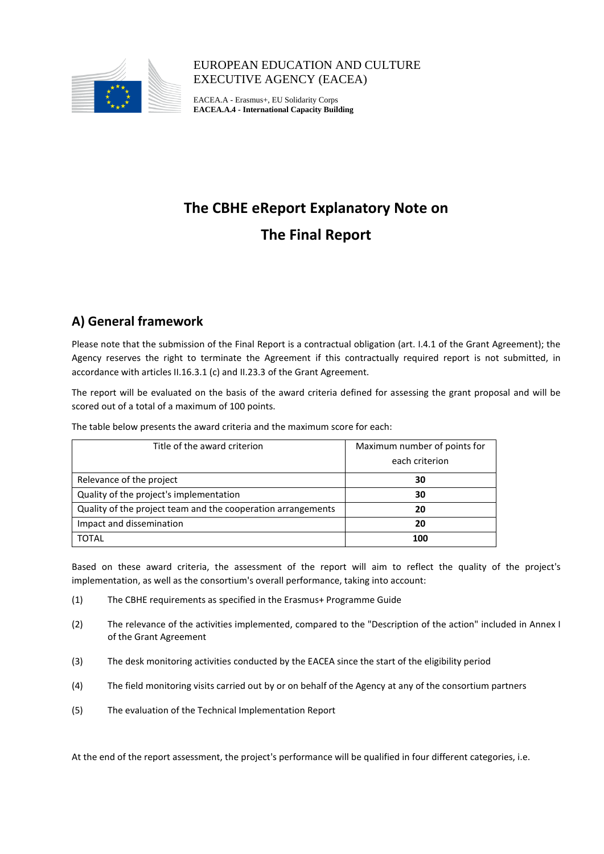

# EUROPEAN EDUCATION AND CULTURE EXECUTIVE AGENCY (EACEA)

EACEA.A - Erasmus+, EU Solidarity Corps **EACEA.A.4 - International Capacity Building**

# **The CBHE eReport Explanatory Note on The Final Report**

# **A) General framework**

Please note that the submission of the Final Report is a contractual obligation (art. I.4.1 of the Grant Agreement); the Agency reserves the right to terminate the Agreement if this contractually required report is not submitted, in accordance with articles II.16.3.1 (c) and II.23.3 of the Grant Agreement.

The report will be evaluated on the basis of the award criteria defined for assessing the grant proposal and will be scored out of a total of a maximum of 100 points.

The table below presents the award criteria and the maximum score for each:

| Title of the award criterion                                 | Maximum number of points for |
|--------------------------------------------------------------|------------------------------|
|                                                              | each criterion               |
| Relevance of the project                                     | 30                           |
| Quality of the project's implementation                      | 30                           |
| Quality of the project team and the cooperation arrangements | 20                           |
| Impact and dissemination                                     | 20                           |
| <b>TOTAL</b>                                                 | 100                          |

Based on these award criteria, the assessment of the report will aim to reflect the quality of the project's implementation, as well as the consortium's overall performance, taking into account:

- (1) The CBHE requirements as specified in the Erasmus+ Programme Guide
- (2) The relevance of the activities implemented, compared to the "Description of the action" included in Annex I of the Grant Agreement
- (3) The desk monitoring activities conducted by the EACEA since the start of the eligibility period
- (4) The field monitoring visits carried out by or on behalf of the Agency at any of the consortium partners
- (5) The evaluation of the Technical Implementation Report

At the end of the report assessment, the project's performance will be qualified in four different categories, i.e.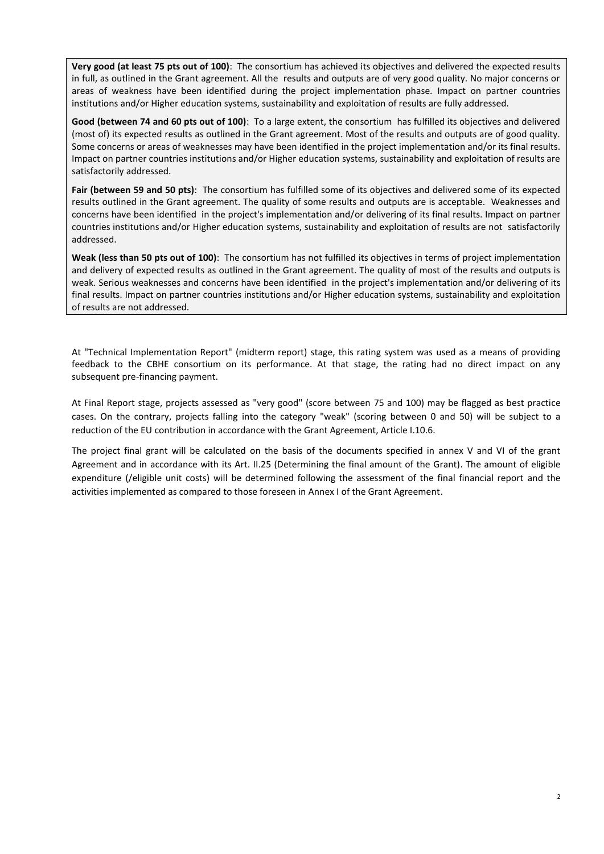**Very good (at least 75 pts out of 100)**: The consortium has achieved its objectives and delivered the expected results in full, as outlined in the Grant agreement. All the results and outputs are of very good quality. No major concerns or areas of weakness have been identified during the project implementation phase. Impact on partner countries institutions and/or Higher education systems, sustainability and exploitation of results are fully addressed.

**Good (between 74 and 60 pts out of 100)**: To a large extent, the consortium has fulfilled its objectives and delivered (most of) its expected results as outlined in the Grant agreement. Most of the results and outputs are of good quality. Some concerns or areas of weaknesses may have been identified in the project implementation and/or its final results. Impact on partner countries institutions and/or Higher education systems, sustainability and exploitation of results are satisfactorily addressed.

**Fair (between 59 and 50 pts)**: The consortium has fulfilled some of its objectives and delivered some of its expected results outlined in the Grant agreement. The quality of some results and outputs are is acceptable. Weaknesses and concerns have been identified in the project's implementation and/or delivering of its final results. Impact on partner countries institutions and/or Higher education systems, sustainability and exploitation of results are not satisfactorily addressed.

**Weak (less than 50 pts out of 100)**: The consortium has not fulfilled its objectives in terms of project implementation and delivery of expected results as outlined in the Grant agreement. The quality of most of the results and outputs is weak. Serious weaknesses and concerns have been identified in the project's implementation and/or delivering of its final results. Impact on partner countries institutions and/or Higher education systems, sustainability and exploitation of results are not addressed.

At "Technical Implementation Report" (midterm report) stage, this rating system was used as a means of providing feedback to the CBHE consortium on its performance. At that stage, the rating had no direct impact on any subsequent pre-financing payment.

At Final Report stage, projects assessed as "very good" (score between 75 and 100) may be flagged as best practice cases. On the contrary, projects falling into the category "weak" (scoring between 0 and 50) will be subject to a reduction of the EU contribution in accordance with the Grant Agreement, Article I.10.6.

The project final grant will be calculated on the basis of the documents specified in annex V and VI of the grant Agreement and in accordance with its Art. II.25 (Determining the final amount of the Grant). The amount of eligible expenditure (/eligible unit costs) will be determined following the assessment of the final financial report and the activities implemented as compared to those foreseen in Annex I of the Grant Agreement.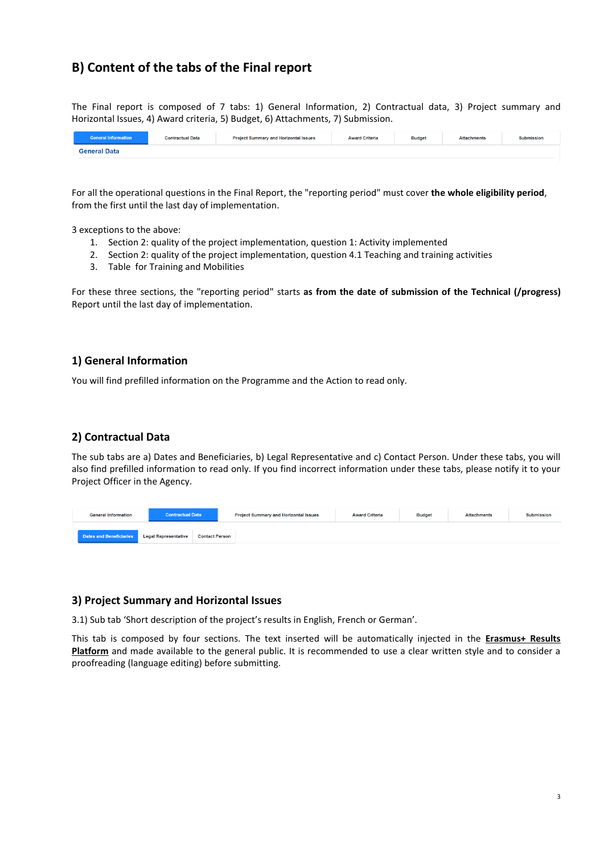# **B) Content of the tabs of the Final report**

The Final report is composed of 7 tabs: 1) General Information, 2) Contractual data, 3) Project summary and Horizontal Issues, 4) Award criteria, 5) Budget, 6) Attachments, 7) Submission.

| <b>General Information</b> | <b>Contractual Data</b> | <b>Project Summary and Horizontal Issues</b> | <b>Award Criteria</b> | <b>Budget</b> | <b>Attachments</b> | <b>Submission</b> |
|----------------------------|-------------------------|----------------------------------------------|-----------------------|---------------|--------------------|-------------------|
| <b>General Data</b>        |                         |                                              |                       |               |                    |                   |

For all the operational questions in the Final Report, the "reporting period" must cover **the whole eligibility period**, from the first until the last day of implementation.

3 exceptions to the above:

- 1. Section 2: quality of the project implementation, question 1: Activity implemented
- 2. Section 2: quality of the project implementation, question 4.1 Teaching and training activities
- 3. Table for Training and Mobilities

For these three sections, the "reporting period" starts **as from the date of submission of the Technical (/progress)** Report until the last day of implementation.

## **1) General Information**

You will find prefilled information on the Programme and the Action to read only.

#### **2) Contractual Data**

The sub tabs are a) Dates and Beneficiaries, b) Legal Representative and c) Contact Person. Under these tabs, you will also find prefilled information to read only. If you find incorrect information under these tabs, please notify it to your Project Officer in the Agency.

| <b>General Information</b> | <b>Contractual Data</b>     |                       | <b>Project Summary and Horizontal Issues</b> | <b>Award Criteria</b> | <b>Budget</b> | <b>Attachments</b> | <b>Submission</b> |
|----------------------------|-----------------------------|-----------------------|----------------------------------------------|-----------------------|---------------|--------------------|-------------------|
| Dates and Beneficiaries    | <b>Legal Representative</b> | <b>Contact Person</b> |                                              |                       |               |                    |                   |

#### **3) Project Summary and Horizontal Issues**

3.1) Sub tab 'Short description of the project's results in English, French or German'.

This tab is composed by four sections. The text inserted will be automatically injected in the **Erasmus+ Results Platform** and made available to the general public. It is recommended to use a clear written style and to consider a proofreading (language editing) before submitting.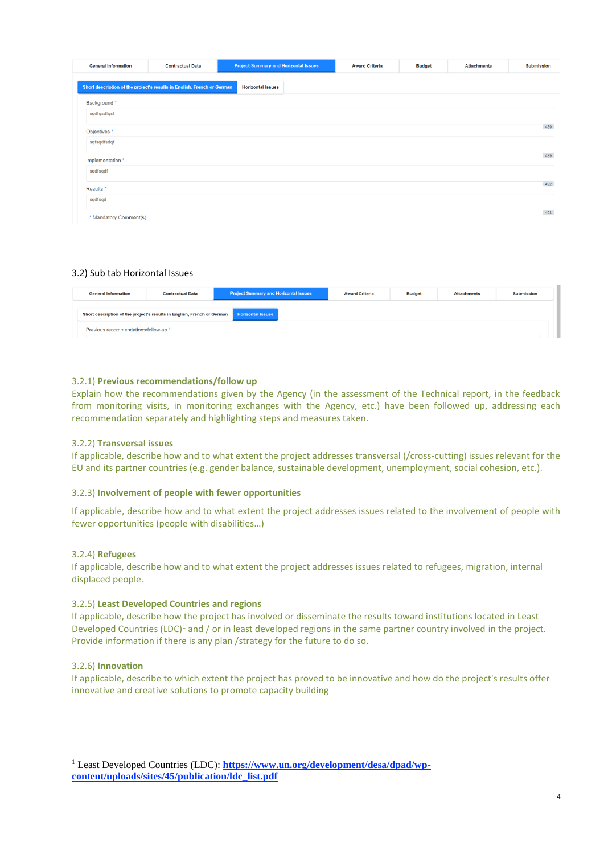| <b>General Information</b> | <b>Contractual Data</b>                                                 | <b>Project Summary and Horizontal Issues</b> | <b>Award Criteria</b> | <b>Budget</b> | <b>Attachments</b> | <b>Submission</b> |
|----------------------------|-------------------------------------------------------------------------|----------------------------------------------|-----------------------|---------------|--------------------|-------------------|
|                            | Short description of the project's results in English, French or German | <b>Horizontal Issues</b>                     |                       |               |                    |                   |
| Background *               |                                                                         |                                              |                       |               |                    |                   |
| sqdfqsdfqsf                |                                                                         |                                              |                       |               |                    |                   |
| Objectives *               |                                                                         |                                              |                       |               |                    | 489               |
| sqfsqdfsdqf                |                                                                         |                                              |                       |               |                    |                   |
| Implementation *           |                                                                         |                                              |                       |               |                    | 489               |
| sqdfsqdf                   |                                                                         |                                              |                       |               |                    |                   |
| Results <sup>*</sup>       |                                                                         |                                              |                       |               |                    | 492               |
| sqdfsqd                    |                                                                         |                                              |                       |               |                    |                   |
| * Mandatory Comment(s).    |                                                                         |                                              |                       |               |                    | 493               |

#### 3.2) Sub tab Horizontal Issues

| <b>General Information</b>                                                                          | <b>Contractual Data</b> | <b>Project Summary and Horizontal Issues</b> | <b>Award Criteria</b> | <b>Budget</b> | <b>Attachments</b> | <b>Submission</b> |  |  |
|-----------------------------------------------------------------------------------------------------|-------------------------|----------------------------------------------|-----------------------|---------------|--------------------|-------------------|--|--|
| <b>Horizontal Issues</b><br>Short description of the project's results in English, French or German |                         |                                              |                       |               |                    |                   |  |  |
| Previous recommendations/follow-up *<br><b>Service</b>                                              |                         |                                              |                       |               |                    |                   |  |  |

#### 3.2.1) **Previous recommendations/follow up**

Explain how the recommendations given by the Agency (in the assessment of the Technical report, in the feedback from monitoring visits, in monitoring exchanges with the Agency, etc.) have been followed up, addressing each recommendation separately and highlighting steps and measures taken.

#### 3.2.2) **Transversal issues**

If applicable, describe how and to what extent the project addresses transversal (/cross-cutting) issues relevant for the EU and its partner countries (e.g. gender balance, sustainable development, unemployment, social cohesion, etc.).

#### 3.2.3) **Involvement of people with fewer opportunities**

If applicable, describe how and to what extent the project addresses issues related to the involvement of people with fewer opportunities (people with disabilities…)

#### 3.2.4) **Refugees**

If applicable, describe how and to what extent the project addresses issues related to refugees, migration, internal displaced people.

#### 3.2.5) **Least Developed Countries and regions**

If applicable, describe how the project has involved or disseminate the results toward institutions located in Least Developed Countries (LDC)<sup>1</sup> and / or in least developed regions in the same partner country involved in the project. Provide information if there is any plan /strategy for the future to do so.

#### 3.2.6) **Innovation**

1

If applicable, describe to which extent the project has proved to be innovative and how do the project's results offer innovative and creative solutions to promote capacity building

4

<sup>&</sup>lt;sup>1</sup> Least Developed Countries (LDC): **[https://www.un.org/development/desa/dpad/wp](https://www.un.org/development/desa/dpad/wp-content/uploads/sites/45/publication/ldc_list.pdf)[content/uploads/sites/45/publication/ldc\\_list.pdf](https://www.un.org/development/desa/dpad/wp-content/uploads/sites/45/publication/ldc_list.pdf)**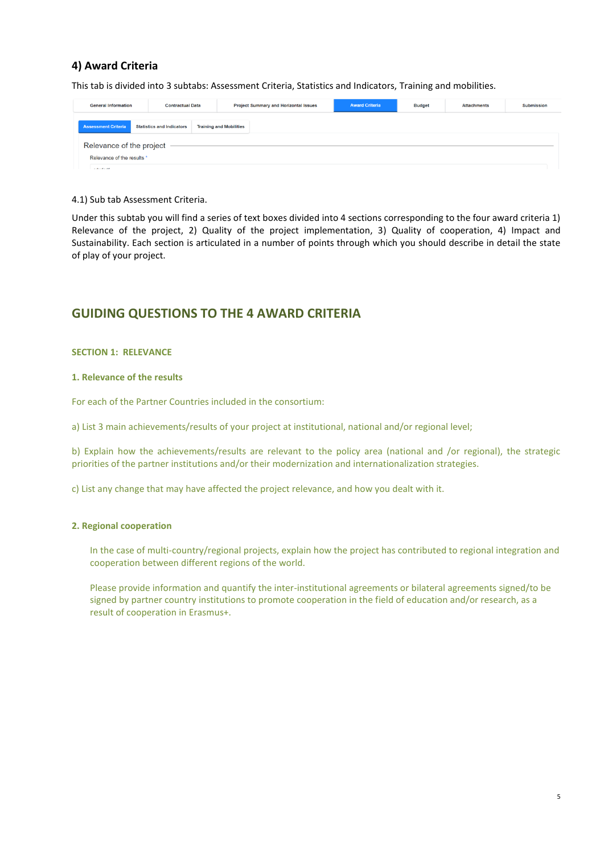# **4) Award Criteria**

This tab is divided into 3 subtabs: Assessment Criteria, Statistics and Indicators, Training and mobilities.

| <b>General Information</b> |                                  | <b>Project Summary and Horizontal Issues</b><br><b>Contractual Data</b> |                                | <b>Award Criteria</b> | <b>Budget</b> | <b>Attachments</b> | <b>Submission</b> |
|----------------------------|----------------------------------|-------------------------------------------------------------------------|--------------------------------|-----------------------|---------------|--------------------|-------------------|
| <b>Assessment Criteria</b> | <b>Statistics and Indicators</b> |                                                                         | <b>Training and Mobilities</b> |                       |               |                    |                   |
| Relevance of the project   |                                  |                                                                         |                                |                       |               |                    |                   |
| Relevance of the results * |                                  |                                                                         |                                |                       |               |                    |                   |
| $-4.147 + 0.02$            |                                  |                                                                         |                                |                       |               |                    |                   |

#### 4.1) Sub tab Assessment Criteria.

Under this subtab you will find a series of text boxes divided into 4 sections corresponding to the four award criteria 1) Relevance of the project, 2) Quality of the project implementation, 3) Quality of cooperation, 4) Impact and Sustainability. Each section is articulated in a number of points through which you should describe in detail the state of play of your project.

# **GUIDING QUESTIONS TO THE 4 AWARD CRITERIA**

#### **SECTION 1: RELEVANCE**

#### **1. Relevance of the results**

For each of the Partner Countries included in the consortium:

a) List 3 main achievements/results of your project at institutional, national and/or regional level;

b) Explain how the achievements/results are relevant to the policy area (national and /or regional), the strategic priorities of the partner institutions and/or their modernization and internationalization strategies.

c) List any change that may have affected the project relevance, and how you dealt with it.

#### **2. Regional cooperation**

In the case of multi-country/regional projects, explain how the project has contributed to regional integration and cooperation between different regions of the world.

Please provide information and quantify the inter-institutional agreements or bilateral agreements signed/to be signed by partner country institutions to promote cooperation in the field of education and/or research, as a result of cooperation in Erasmus+.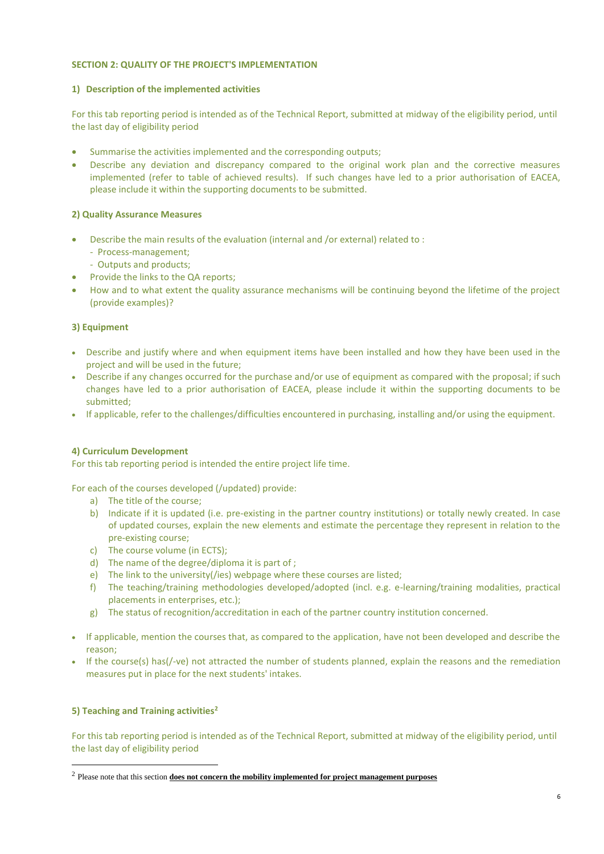#### **SECTION 2: QUALITY OF THE PROJECT'S IMPLEMENTATION**

#### **1) Description of the implemented activities**

For this tab reporting period is intended as of the Technical Report, submitted at midway of the eligibility period, until the last day of eligibility period

- Summarise the activities implemented and the corresponding outputs;
- Describe any deviation and discrepancy compared to the original work plan and the corrective measures implemented (refer to table of achieved results). If such changes have led to a prior authorisation of EACEA, please include it within the supporting documents to be submitted.

#### **2) Quality Assurance Measures**

- Describe the main results of the evaluation (internal and /or external) related to :
	- Process-management;
	- Outputs and products;
- Provide the links to the QA reports;
- How and to what extent the quality assurance mechanisms will be continuing beyond the lifetime of the project (provide examples)?

#### **3) Equipment**

- Describe and justify where and when equipment items have been installed and how they have been used in the project and will be used in the future;
- Describe if any changes occurred for the purchase and/or use of equipment as compared with the proposal; if such changes have led to a prior authorisation of EACEA, please include it within the supporting documents to be submitted;
- If applicable, refer to the challenges/difficulties encountered in purchasing, installing and/or using the equipment.

#### **4) Curriculum Development**

For this tab reporting period is intended the entire project life time.

For each of the courses developed (/updated) provide:

- a) The title of the course;
- b) Indicate if it is updated (i.e. pre-existing in the partner country institutions) or totally newly created. In case of updated courses, explain the new elements and estimate the percentage they represent in relation to the pre-existing course;
- c) The course volume (in ECTS);
- d) The name of the degree/diploma it is part of ;
- e) The link to the university(/ies) webpage where these courses are listed;
- f) The teaching/training methodologies developed/adopted (incl. e.g. e-learning/training modalities, practical placements in enterprises, etc.);
- g) The status of recognition/accreditation in each of the partner country institution concerned.
- If applicable, mention the courses that, as compared to the application, have not been developed and describe the reason;
- If the course(s) has(/-ve) not attracted the number of students planned, explain the reasons and the remediation measures put in place for the next students' intakes.

#### **5) Teaching and Training activities<sup>2</sup>**

<u>.</u>

For this tab reporting period is intended as of the Technical Report, submitted at midway of the eligibility period, until the last day of eligibility period

<sup>2</sup> Please note that this section **does not concern the mobility implemented for project management purposes**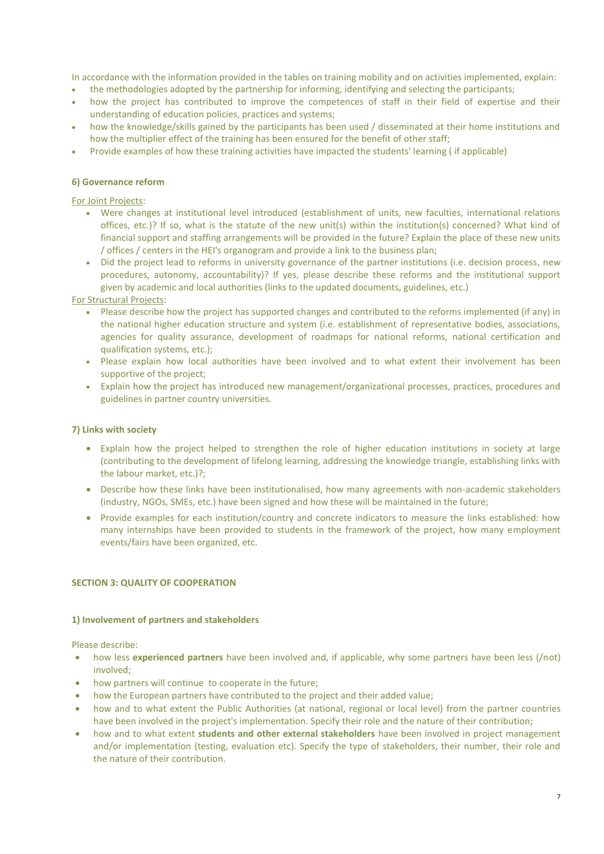In accordance with the information provided in the tables on training mobility and on activities implemented, explain:

- the methodologies adopted by the partnership for informing, identifying and selecting the participants;
- how the project has contributed to improve the competences of staff in their field of expertise and their understanding of education policies, practices and systems;
- how the knowledge/skills gained by the participants has been used / disseminated at their home institutions and how the multiplier effect of the training has been ensured for the benefit of other staff;
- Provide examples of how these training activities have impacted the students' learning ( if applicable)

#### **6) Governance reform**

For Joint Projects:

- Were changes at institutional level introduced (establishment of units, new faculties, international relations offices, etc.)? If so, what is the statute of the new unit(s) within the institution(s) concerned? What kind of financial support and staffing arrangements will be provided in the future? Explain the place of these new units / offices / centers in the HEI's organogram and provide a link to the business plan;
- Did the project lead to reforms in university governance of the partner institutions (i.e. decision process, new procedures, autonomy, accountability)? If yes, please describe these reforms and the institutional support given by academic and local authorities (links to the updated documents, guidelines, etc.)

#### For Structural Projects:

- Please describe how the project has supported changes and contributed to the reforms implemented (if any) in the national higher education structure and system (i.e. establishment of representative bodies, associations, agencies for quality assurance, development of roadmaps for national reforms, national certification and qualification systems, etc.);
- Please explain how local authorities have been involved and to what extent their involvement has been supportive of the project;
- Explain how the project has introduced new management/organizational processes, practices, procedures and guidelines in partner country universities.

#### **7) Links with society**

- Explain how the project helped to strengthen the role of higher education institutions in society at large (contributing to the development of lifelong learning, addressing the knowledge triangle, establishing links with the labour market, etc.)?;
- Describe how these links have been institutionalised, how many agreements with non-academic stakeholders (industry, NGOs, SMEs, etc.) have been signed and how these will be maintained in the future;
- Provide examples for each institution/country and concrete indicators to measure the links established: how many internships have been provided to students in the framework of the project, how many employment events/fairs have been organized, etc.

#### **SECTION 3: QUALITY OF COOPERATION**

#### **1) Involvement of partners and stakeholders**

Please describe:

- how less **experienced partners** have been involved and, if applicable, why some partners have been less (/not) involved;
- how partners will continue to cooperate in the future;
- how the European partners have contributed to the project and their added value;
- how and to what extent the Public Authorities (at national, regional or local level) from the partner countries have been involved in the project's implementation. Specify their role and the nature of their contribution;
- how and to what extent **students and other external stakeholders** have been involved in project management and/or implementation (testing, evaluation etc). Specify the type of stakeholders, their number, their role and the nature of their contribution.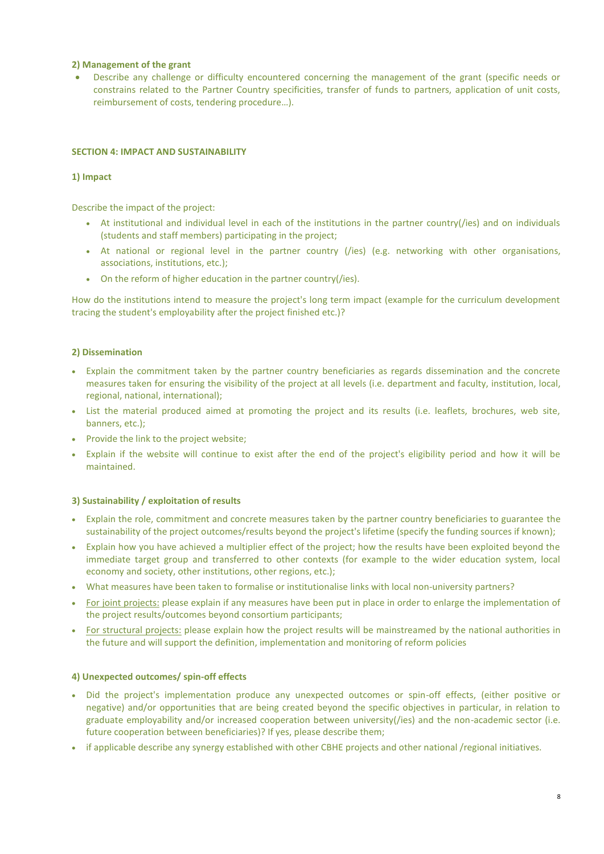#### **2) Management of the grant**

 Describe any challenge or difficulty encountered concerning the management of the grant (specific needs or constrains related to the Partner Country specificities, transfer of funds to partners, application of unit costs, reimbursement of costs, tendering procedure…).

#### **SECTION 4: IMPACT AND SUSTAINABILITY**

#### **1) Impact**

Describe the impact of the project:

- At institutional and individual level in each of the institutions in the partner country(/ies) and on individuals (students and staff members) participating in the project;
- At national or regional level in the partner country (/ies) (e.g. networking with other organisations, associations, institutions, etc.);
- On the reform of higher education in the partner country(/ies).

How do the institutions intend to measure the project's long term impact (example for the curriculum development tracing the student's employability after the project finished etc.)?

#### **2) Dissemination**

- Explain the commitment taken by the partner country beneficiaries as regards dissemination and the concrete measures taken for ensuring the visibility of the project at all levels (i.e. department and faculty, institution, local, regional, national, international);
- List the material produced aimed at promoting the project and its results (i.e. leaflets, brochures, web site, banners, etc.);
- Provide the link to the project website;
- Explain if the website will continue to exist after the end of the project's eligibility period and how it will be maintained.

#### **3) Sustainability / exploitation of results**

- Explain the role, commitment and concrete measures taken by the partner country beneficiaries to guarantee the sustainability of the project outcomes/results beyond the project's lifetime (specify the funding sources if known);
- Explain how you have achieved a multiplier effect of the project; how the results have been exploited beyond the immediate target group and transferred to other contexts (for example to the wider education system, local economy and society, other institutions, other regions, etc.);
- What measures have been taken to formalise or institutionalise links with local non-university partners?
- For joint projects: please explain if any measures have been put in place in order to enlarge the implementation of the project results/outcomes beyond consortium participants;
- For structural projects: please explain how the project results will be mainstreamed by the national authorities in the future and will support the definition, implementation and monitoring of reform policies

#### **4) Unexpected outcomes/ spin-off effects**

- Did the project's implementation produce any unexpected outcomes or spin-off effects, (either positive or negative) and/or opportunities that are being created beyond the specific objectives in particular, in relation to graduate employability and/or increased cooperation between university(/ies) and the non-academic sector (i.e. future cooperation between beneficiaries)? If yes, please describe them;
- if applicable describe any synergy established with other CBHE projects and other national /regional initiatives.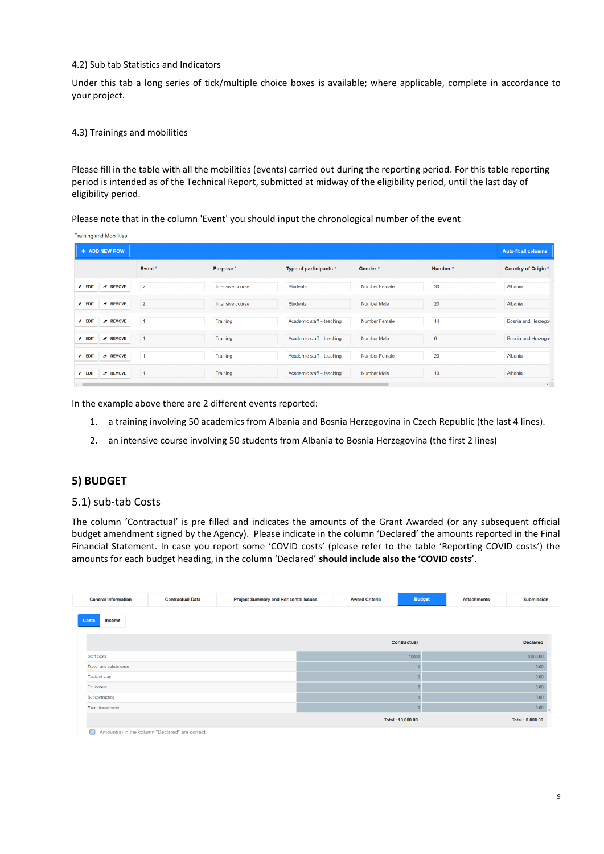#### 4.2) Sub tab Statistics and Indicators

Under this tab a long series of tick/multiple choice boxes is available; where applicable, complete in accordance to your project.

#### 4.3) Trainings and mobilities

Please fill in the table with all the mobilities (events) carried out during the reporting period. For this table reporting period is intended as of the Technical Report, submitted at midway of the eligibility period, until the last day of eligibility period.

Please note that in the column 'Event' you should input the chronological number of the event

| <b>Training and Mobilities</b>      |                |                  |                           |                      |         |                             |
|-------------------------------------|----------------|------------------|---------------------------|----------------------|---------|-----------------------------|
| + ADD NEW ROW                       |                |                  |                           |                      |         | <b>Auto-fit all columns</b> |
|                                     | Event*         | Purpose*         | Type of participants *    | Gender*              | Number* | Country of Origin *         |
| $J$ REMOVE<br>$\angle$ EDIT         | $\overline{2}$ | Intensive course | Students                  | <b>Number Female</b> | 30      | Albania                     |
| $\sigma$ REMOVE<br>$\triangle$ EDIT | $\overline{2}$ | Intensive course | Students                  | Number Male          | 20      | Albania                     |
| $\sigma$ REMOVE<br>$\triangle$ EDIT | $\overline{1}$ | Training         | Academic staff - teaching | <b>Number Female</b> | 14      | Bosnia and Herzego          |
| $\angle$ EDIT<br>$\sigma$ REMOVE    | $\mathbf{1}$   | Training         | Academic staff - teaching | <b>Number Male</b>   | 6       | Bosnia and Herzego          |
| $\triangle$ EDIT<br>$\sigma$ REMOVE | $\mathbf{1}$   | Training         | Academic staff - teaching | <b>Number Female</b> | 20      | Albania                     |
| $\epsilon$ EDIT<br>$Z$ REMOVE       | $\mathbf{1}$   | Training         | Academic staff - teaching | <b>Number Male</b>   | 10      | Albania                     |
| $\overline{4}$                      |                |                  |                           |                      |         | $\ddot{\phantom{1}}$        |

In the example above there are 2 different events reported:

- 1. a training involving 50 academics from Albania and Bosnia Herzegovina in Czech Republic (the last 4 lines).
- 2. an intensive course involving 50 students from Albania to Bosnia Herzegovina (the first 2 lines)

## **5) BUDGET**

#### 5.1) sub-tab Costs

The column 'Contractual' is pre filled and indicates the amounts of the Grant Awarded (or any subsequent official budget amendment signed by the Agency). Please indicate in the column 'Declared' the amounts reported in the Final Financial Statement. In case you report some 'COVID costs' (please refer to the table 'Reporting COVID costs') the amounts for each budget heading, in the column 'Declared' **should include also the 'COVID costs'**.

| <b>General Information</b> | <b>Contractual Data</b> | <b>Project Summary and Horizontal Issues</b> | <b>Award Criteria</b> | <b>Budget</b>    | <b>Attachments</b> | <b>Submission</b> |
|----------------------------|-------------------------|----------------------------------------------|-----------------------|------------------|--------------------|-------------------|
| Costs<br>Income            |                         |                                              |                       |                  |                    |                   |
|                            |                         |                                              |                       | Contractual      |                    | <b>Declared</b>   |
| Staff costs                |                         |                                              |                       | 10000            |                    | 8,000.00          |
| Travel and subsistence     |                         |                                              |                       |                  |                    | 0.00              |
| Costs of stay              |                         |                                              |                       |                  |                    | 0.00              |
| Equipment                  |                         |                                              |                       |                  |                    | 0.00              |
| Subcontracting             |                         |                                              |                       |                  |                    | 0.00              |
| <b>Exceptional costs</b>   |                         |                                              |                       |                  |                    | 0.00              |
|                            |                         |                                              |                       | Total: 10,000.00 |                    | Total: 8,000.00   |

Amount(s) in the column "Declared" are correct